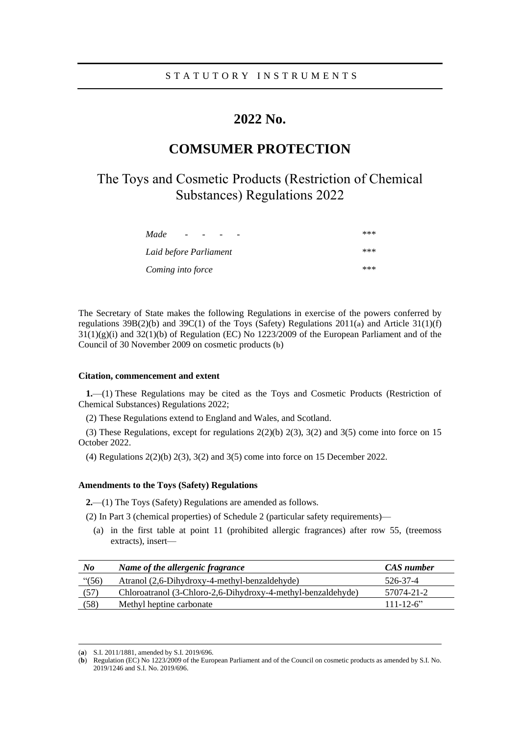# **2022 No.**

# **COMSUMER PROTECTION**

# The Toys and Cosmetic Products (Restriction of Chemical Substances) Regulations 2022

| Made<br>$\overline{\phantom{0}}$ | *** |
|----------------------------------|-----|
| Laid before Parliament           | *** |
| Coming into force                | *** |

The Secretary of State makes the following Regulations in exercise of the powers conferred by regulations 39B(2)(b) and 39C(1) of the Toys (Safety) Regulations 2011(**a**) and Article 31(1)(f)  $31(1)(g)(i)$  and  $32(1)(b)$  of Regulation (EC) No 1223/2009 of the European Parliament and of the Council of 30 November 2009 on cosmetic products (**b**)

## **Citation, commencement and extent**

**1.**—(1) These Regulations may be cited as the Toys and Cosmetic Products (Restriction of Chemical Substances) Regulations 2022;

(2) These Regulations extend to England and Wales, and Scotland.

(3) These Regulations, except for regulations 2(2)(b) 2(3), 3(2) and 3(5) come into force on 15 October 2022.

(4) Regulations 2(2)(b) 2(3), 3(2) and 3(5) come into force on 15 December 2022.

### **Amendments to the Toys (Safety) Regulations**

**2.**—(1) The Toys (Safety) Regulations are amended as follows.

(2) In Part 3 (chemical properties) of Schedule 2 (particular safety requirements)—

(a) in the first table at point 11 (prohibited allergic fragrances) after row 55, (treemoss extracts), insert—

| $N$ o    | Name of the allergenic fragrance                             | CAS number     |
|----------|--------------------------------------------------------------|----------------|
| " $(56)$ | Atranol (2,6-Dihydroxy-4-methyl-benzaldehyde)                | 526-37-4       |
| (57)     | Chloroatranol (3-Chloro-2,6-Dihydroxy-4-methyl-benzaldehyde) | 57074-21-2     |
| (58)     | Methyl heptine carbonate                                     | $111 - 12 - 6$ |

<sup>(</sup>**a**) S.I. 2011/1881, amended by S.I. 2019/696.

<sup>(</sup>**b**) Regulation (EC) No 1223/2009 of the European Parliament and of the Council on cosmetic products as amended by S.I. No. 2019/1246 and S.I. No. 2019/696.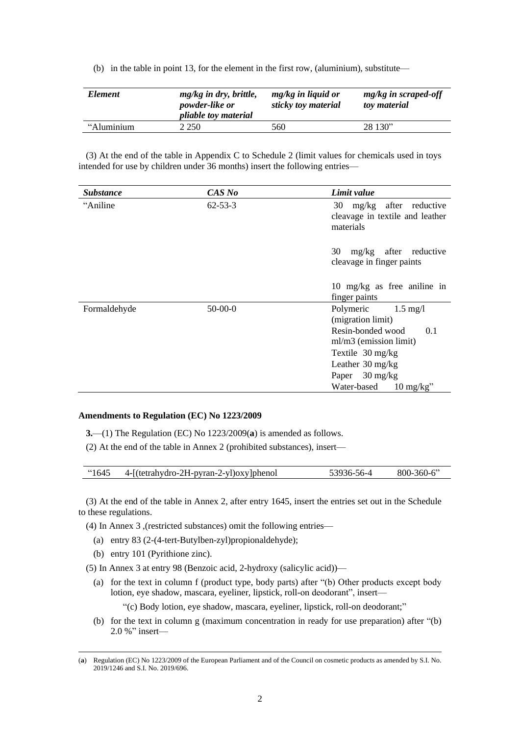(b) in the table in point 13, for the element in the first row, (aluminium), substitute—

| <i>Element</i> | mg/kg in dry, brittle,<br>powder-like or<br><i>pliable toy material</i> | $mg/kg$ in liquid or<br>sticky toy material | mg/kg in scraped-off<br>toy material |
|----------------|-------------------------------------------------------------------------|---------------------------------------------|--------------------------------------|
| "Aluminium     | 2.250                                                                   | 560                                         | 28 130"                              |

(3) At the end of the table in Appendix C to Schedule 2 (limit values for chemicals used in toys intended for use by children under 36 months) insert the following entries—

| <i><b>Substance</b></i> | CAS No        | Limit value                                                                        |
|-------------------------|---------------|------------------------------------------------------------------------------------|
| "Aniline"               | $62 - 53 - 3$ | 30 mg/kg after reductive<br>cleavage in textile and leather<br>materials           |
|                         |               | mg/kg after reductive<br>30<br>cleavage in finger paints                           |
|                         |               | 10 mg/kg as free aniline in<br>finger paints                                       |
| Formaldehyde            | $50-00-0$     | Polymeric<br>$1.5 \text{ mg}/l$<br>(migration limit)<br>Resin-bonded wood<br>0.1   |
|                         |               | ml/m3 (emission limit)<br>Textile $30 \text{ mg/kg}$<br>Leather $30 \text{ mg/kg}$ |
|                         |               | Paper $30 \text{ mg/kg}$<br>Water-based<br>$10 \text{ mg/kg}$                      |

#### **Amendments to Regulation (EC) No 1223/2009**

**3.**—(1) The Regulation (EC) No 1223/2009(**a**) is amended as follows.

(2) At the end of the table in Annex 2 (prohibited substances), insert—

| <b>"1645</b> " | 4-1 (tetrahydro-2H-pyran-2-yl) oxylphenol | 56-4<br>-3936- | $-360-6$<br>$800 -$ |
|----------------|-------------------------------------------|----------------|---------------------|
|                |                                           |                |                     |

(3) At the end of the table in Annex 2, after entry 1645, insert the entries set out in the Schedule to these regulations.

(4) In Annex 3 ,(restricted substances) omit the following entries—

- (a) entry 83 (2-(4-tert-Butylben-zyl)propionaldehyde);
- (b) entry 101 (Pyrithione zinc).

(5) In Annex 3 at entry 98 (Benzoic acid, 2-hydroxy (salicylic acid))—

(a) for the text in column f (product type, body parts) after "(b) Other products except body lotion, eye shadow, mascara, eyeliner, lipstick, roll-on deodorant", insert—

"(c) Body lotion, eye shadow, mascara, eyeliner, lipstick, roll-on deodorant;"

(b) for the text in column g (maximum concentration in ready for use preparation) after "(b) 2.0 %" insert—

<sup>(</sup>**a**) Regulation (EC) No 1223/2009 of the European Parliament and of the Council on cosmetic products as amended by S.I. No. 2019/1246 and S.I. No. 2019/696.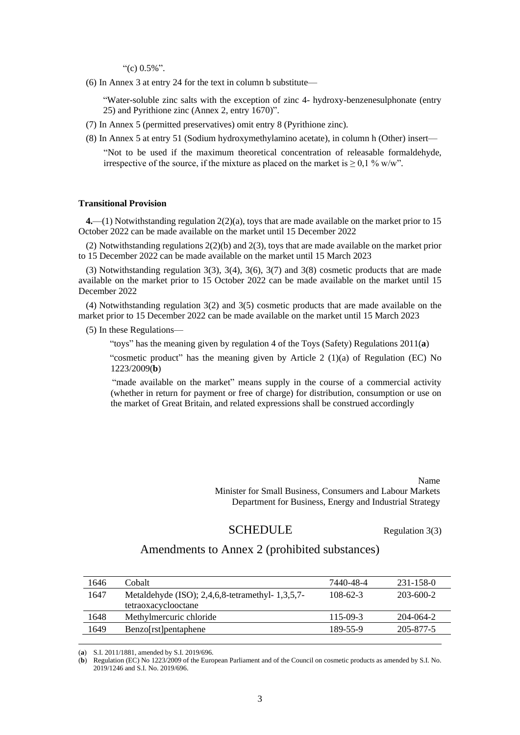"(c)  $0.5\%$ ".

(6) In Annex 3 at entry 24 for the text in column b substitute—

"Water-soluble zinc salts with the exception of zinc 4- hydroxy-benzenesulphonate (entry 25) and Pyrithione zinc (Annex 2, entry 1670)".

- (7) In Annex 5 (permitted preservatives) omit entry 8 (Pyrithione zinc).
- (8) In Annex 5 at entry 51 (Sodium hydroxymethylamino acetate), in column h (Other) insert—

"Not to be used if the maximum theoretical concentration of releasable formaldehyde, irrespective of the source, if the mixture as placed on the market is  $\geq 0.1$  % w/w".

#### **Transitional Provision**

**4.**—(1) Notwithstanding regulation 2(2)(a), toys that are made available on the market prior to 15 October 2022 can be made available on the market until 15 December 2022

(2) Notwithstanding regulations 2(2)(b) and 2(3), toys that are made available on the market prior to 15 December 2022 can be made available on the market until 15 March 2023

(3) Notwithstanding regulation  $3(3)$ ,  $3(4)$ ,  $3(6)$ ,  $3(7)$  and  $3(8)$  cosmetic products that are made available on the market prior to 15 October 2022 can be made available on the market until 15 December 2022

(4) Notwithstanding regulation 3(2) and 3(5) cosmetic products that are made available on the market prior to 15 December 2022 can be made available on the market until 15 March 2023

(5) In these Regulations—

"toys" has the meaning given by regulation 4 of the Toys (Safety) Regulations 2011(**a**)

"cosmetic product" has the meaning given by Article 2 (1)(a) of Regulation (EC) No 1223/2009(**b**)

"made available on the market" means supply in the course of a commercial activity (whether in return for payment or free of charge) for distribution, consumption or use on the market of Great Britain, and related expressions shall be construed accordingly

> Name Minister for Small Business, Consumers and Labour Markets Department for Business, Energy and Industrial Strategy

# SCHEDULE Regulation 3(3)

# Amendments to Annex 2 (prohibited substances)

| 1646 | Cobalt                                                 | 7440-48-4 | 231-158-0 |
|------|--------------------------------------------------------|-----------|-----------|
| 1647 | Metaldehyde (ISO); $2,4,6,8$ -tetramethyl- $1,3,5,7$ - | 108-62-3  | 203-600-2 |
|      | tetraoxacyclooctane                                    |           |           |
| 1648 | Methylmercuric chloride                                | 115-09-3  | 204-064-2 |
| 1649 | <b>Benzo</b> [rst] pentaphene                          | 189-55-9  | 205-877-5 |
|      |                                                        |           |           |

(**a**) S.I. 2011/1881, amended by S.I. 2019/696.

(**b**) Regulation (EC) No 1223/2009 of the European Parliament and of the Council on cosmetic products as amended by S.I. No. 2019/1246 and S.I. No. 2019/696.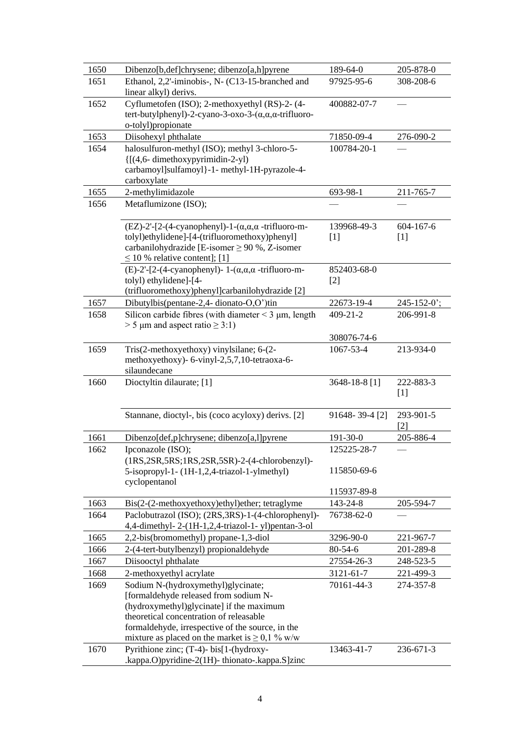| 1650 | Dibenzo[b,def]chrysene; dibenzo[a,h]pyrene                                          | 189-64-0       | 205-878-0         |
|------|-------------------------------------------------------------------------------------|----------------|-------------------|
| 1651 | Ethanol, 2,2'-iminobis-, N- (C13-15-branched and                                    | 97925-95-6     | 308-208-6         |
|      | linear alkyl) derivs.                                                               |                |                   |
| 1652 | Cyflumetofen (ISO); 2-methoxyethyl (RS)-2- (4-                                      | 400882-07-7    |                   |
|      | tert-butylphenyl)-2-cyano-3-oxo-3- $(\alpha, \alpha, \alpha$ -trifluoro-            |                |                   |
|      | o-tolyl)propionate                                                                  |                |                   |
| 1653 | Diisohexyl phthalate                                                                | 71850-09-4     | 276-090-2         |
| 1654 | halosulfuron-methyl (ISO); methyl 3-chloro-5-                                       | 100784-20-1    |                   |
|      | {[(4,6-dimethoxypyrimidin-2-yl)                                                     |                |                   |
|      | carbamoyl]sulfamoyl}-1- methyl-1H-pyrazole-4-                                       |                |                   |
|      | carboxylate                                                                         |                |                   |
| 1655 | 2-methylimidazole                                                                   | 693-98-1       | 211-765-7         |
| 1656 | Metaflumizone (ISO);                                                                |                |                   |
|      | $(EZ)$ -2'-[2-(4-cyanophenyl)-1-( $\alpha, \alpha$ , $\alpha$ -trifluoro-m-         | 139968-49-3    | $604 - 167 - 6$   |
|      | tolyl)ethylidene]-[4-(trifluoromethoxy)phenyl]                                      | $[1]$          | $[1]$             |
|      | carbanilohydrazide [E-isomer $\geq$ 90 %, Z-isomer                                  |                |                   |
|      | $\leq$ 10 % relative content]; [1]                                                  |                |                   |
|      | (E)-2'-[2-(4-cyanophenyl)- $1-(\alpha,\alpha,\alpha$ -trifluoro-m-                  | 852403-68-0    |                   |
|      | tolyl) ethylidene]-[4-                                                              | $[2]$          |                   |
|      | (trifluoromethoxy)phenyl]carbanilohydrazide [2]                                     |                |                   |
| 1657 | Dibutylbis(pentane-2,4- dionato-O,O')tin                                            | 22673-19-4     | $245 - 152 - 0$ ; |
| 1658 | Silicon carbide fibres (with diameter $\leq$ 3 $\mu$ m, length                      | $409 - 21 - 2$ | 206-991-8         |
|      | $> 5 \mu$ m and aspect ratio $\geq 3:1$ )                                           |                |                   |
|      |                                                                                     | 308076-74-6    |                   |
| 1659 | Tris(2-methoxyethoxy) vinylsilane; 6-(2-                                            | 1067-53-4      | 213-934-0         |
|      | methoxyethoxy)- 6-vinyl-2,5,7,10-tetraoxa-6-                                        |                |                   |
|      | silaundecane                                                                        |                |                   |
| 1660 | Dioctyltin dilaurate; [1]                                                           | 3648-18-8 [1]  | 222-883-3         |
|      |                                                                                     |                | $[1]$             |
|      | Stannane, dioctyl-, bis (coco acyloxy) derivs. [2]                                  | 91648-39-4 [2] | 293-901-5         |
|      |                                                                                     |                | [2]               |
| 1661 | Dibenzo[def,p]chrysene; dibenzo[a,l]pyrene                                          | 191-30-0       | 205-886-4         |
| 1662 | Ipconazole (ISO);                                                                   | 125225-28-7    |                   |
|      | $(1RS, 2SR, 5RS, 1RS, 2SR, 5SR) - 2 - (4-chlorobenzyl) -$                           |                |                   |
|      | 5-isopropyl-1- (1H-1,2,4-triazol-1-ylmethyl)                                        | 115850-69-6    |                   |
|      | cyclopentanol                                                                       |                |                   |
|      |                                                                                     | 115937-89-8    |                   |
| 1663 | Bis(2-(2-methoxyethoxy)ethyl)ether; tetraglyme                                      | 143-24-8       | 205-594-7         |
| 1664 | Paclobutrazol (ISO); (2RS,3RS)-1-(4-chlorophenyl)-                                  | 76738-62-0     |                   |
|      | 4,4-dimethyl-2-(1H-1,2,4-triazol-1-yl)pentan-3-ol                                   |                |                   |
| 1665 | 2,2-bis(bromomethyl) propane-1,3-diol                                               | 3296-90-0      | 221-967-7         |
| 1666 | 2-(4-tert-butylbenzyl) propionaldehyde                                              | $80 - 54 - 6$  | 201-289-8         |
| 1667 | Diisooctyl phthalate                                                                | 27554-26-3     | 248-523-5         |
| 1668 | 2-methoxyethyl acrylate                                                             | 3121-61-7      | 221-499-3         |
| 1669 | Sodium N-(hydroxymethyl)glycinate;                                                  | 70161-44-3     | 274-357-8         |
|      | [formaldehyde released from sodium N-                                               |                |                   |
|      | (hydroxymethyl)glycinate] if the maximum<br>theoretical concentration of releasable |                |                   |
|      | formaldehyde, irrespective of the source, in the                                    |                |                   |
|      | mixture as placed on the market is $\geq 0,1\%$ w/w                                 |                |                   |
| 1670 | Pyrithione zinc; (T-4)- bis[1-(hydroxy-                                             | 13463-41-7     | 236-671-3         |
|      | .kappa.O)pyridine-2(1H)-thionato-.kappa.S]zinc                                      |                |                   |